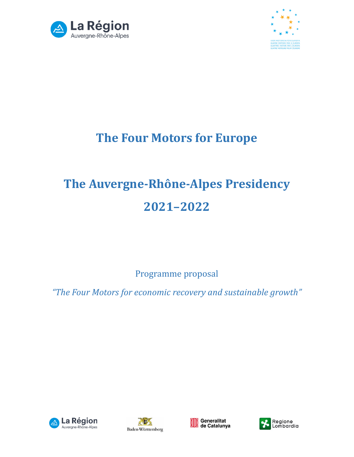



# **The Four Motors for Europe**

# **The Auvergne-Rhône-Alpes Presidency 2021–2022**

Programme proposal

*"The Four Motors for economic recovery and sustainable growth"*







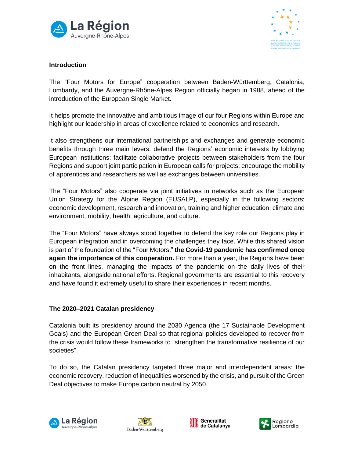



#### **Introduction**

The "Four Motors for Europe" cooperation between Baden-Württemberg, Catalonia, Lombardy, and the Auvergne-Rhône-Alpes Region officially began in 1988, ahead of the introduction of the European Single Market.

It helps promote the innovative and ambitious image of our four Regions within Europe and highlight our leadership in areas of excellence related to economics and research.

It also strengthens our international partnerships and exchanges and generate economic benefits through three main levers: defend the Regions' economic interests by lobbying European institutions; facilitate collaborative projects between stakeholders from the four Regions and support joint participation in European calls for projects; encourage the mobility of apprentices and researchers as well as exchanges between universities.

The "Four Motors" also cooperate via joint initiatives in networks such as the European Union Strategy for the Alpine Region (EUSALP), especially in the following sectors: economic development, research and innovation, training and higher education, climate and environment, mobility, health, agriculture, and culture.

The "Four Motors" have always stood together to defend the key role our Regions play in European integration and in overcoming the challenges they face. While this shared vision is part of the foundation of the "Four Motors," **the Covid-19 pandemic has confirmed once again the importance of this cooperation.** For more than a year, the Regions have been on the front lines, managing the impacts of the pandemic on the daily lives of their inhabitants, alongside national efforts. Regional governments are essential to this recovery and have found it extremely useful to share their experiences in recent months.

#### **The 2020–2021 Catalan presidency**

Catalonia built its presidency around the 2030 Agenda (the 17 Sustainable Development Goals) and the European Green Deal so that regional policies developed to recover from the crisis would follow these frameworks to "strengthen the transformative resilience of our societies".

To do so, the Catalan presidency targeted three major and interdependent areas: the economic recovery, reduction of inequalities worsened by the crisis, and pursuit of the Green Deal objectives to make Europe carbon neutral by 2050.







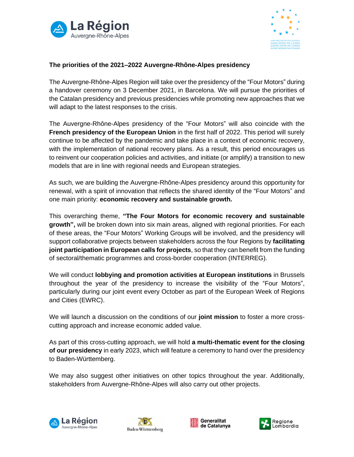



#### **The priorities of the 2021–2022 Auvergne-Rhône-Alpes presidency**

The Auvergne-Rhône-Alpes Region will take over the presidency of the "Four Motors" during a handover ceremony on 3 December 2021, in Barcelona. We will pursue the priorities of the Catalan presidency and previous presidencies while promoting new approaches that we will adapt to the latest responses to the crisis.

The Auvergne-Rhône-Alpes presidency of the "Four Motors" will also coincide with the **French presidency of the European Union** in the first half of 2022. This period will surely continue to be affected by the pandemic and take place in a context of economic recovery, with the implementation of national recovery plans. As a result, this period encourages us to reinvent our cooperation policies and activities, and initiate (or amplify) a transition to new models that are in line with regional needs and European strategies.

As such, we are building the Auvergne-Rhône-Alpes presidency around this opportunity for renewal, with a spirit of innovation that reflects the shared identity of the "Four Motors" and one main priority: **economic recovery and sustainable growth.** 

This overarching theme, **"The Four Motors for economic recovery and sustainable growth",** will be broken down into six main areas, aligned with regional priorities. For each of these areas, the "Four Motors" Working Groups will be involved, and the presidency will support collaborative projects between stakeholders across the four Regions by **facilitating joint participation in European calls for projects**, so that they can benefit from the funding of sectoral/thematic programmes and cross-border cooperation (INTERREG).

We will conduct **lobbying and promotion activities at European institutions** in Brussels throughout the year of the presidency to increase the visibility of the "Four Motors", particularly during our joint event every October as part of the European Week of Regions and Cities (EWRC).

We will launch a discussion on the conditions of our **joint mission** to foster a more crosscutting approach and increase economic added value.

As part of this cross-cutting approach, we will hold **a multi-thematic event for the closing of our presidency** in early 2023, which will feature a ceremony to hand over the presidency to Baden-Württemberg.

We may also suggest other initiatives on other topics throughout the year. Additionally, stakeholders from Auvergne-Rhône-Alpes will also carry out other projects.







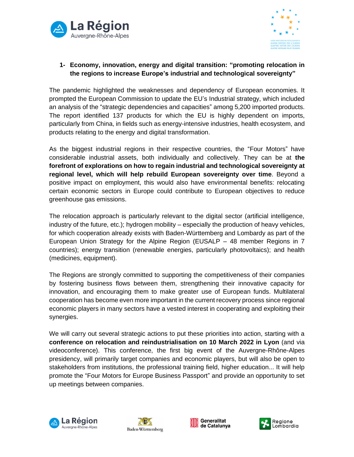



# **1- Economy, innovation, energy and digital transition: "promoting relocation in the regions to increase Europe's industrial and technological sovereignty"**

The pandemic highlighted the weaknesses and dependency of European economies. It prompted the European Commission to update the EU's Industrial strategy, which included an analysis of the "strategic dependencies and capacities" among 5,200 imported products. The report identified 137 products for which the EU is highly dependent on imports, particularly from China, in fields such as energy-intensive industries, health ecosystem, and products relating to the energy and digital transformation.

As the biggest industrial regions in their respective countries, the "Four Motors" have considerable industrial assets, both individually and collectively. They can be at **the forefront of explorations on how to regain industrial and technological sovereignty at regional level, which will help rebuild European sovereignty over time**. Beyond a positive impact on employment, this would also have environmental benefits: relocating certain economic sectors in Europe could contribute to European objectives to reduce greenhouse gas emissions.

The relocation approach is particularly relevant to the digital sector (artificial intelligence, industry of the future, etc.); hydrogen mobility – especially the production of heavy vehicles, for which cooperation already exists with Baden-Württemberg and Lombardy as part of the European Union Strategy for the Alpine Region (EUSALP – 48 member Regions in 7 countries); energy transition (renewable energies, particularly photovoltaics); and health (medicines, equipment).

The Regions are strongly committed to supporting the competitiveness of their companies by fostering business flows between them, strengthening their innovative capacity for innovation, and encouraging them to make greater use of European funds. Multilateral cooperation has become even more important in the current recovery process since regional economic players in many sectors have a vested interest in cooperating and exploiting their synergies.

We will carry out several strategic actions to put these priorities into action, starting with a **conference on relocation and reindustrialisation on 10 March 2022 in Lyon** (and via videoconference). This conference, the first big event of the Auvergne-Rhône-Alpes presidency, will primarily target companies and economic players, but will also be open to stakeholders from institutions, the professional training field, higher education... It will help promote the "Four Motors for Europe Business Passport" and provide an opportunity to set up meetings between companies.







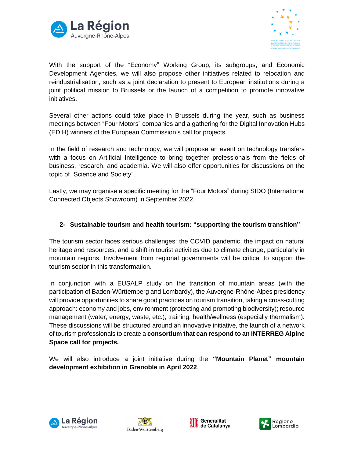



With the support of the "Economy" Working Group, its subgroups, and Economic Development Agencies, we will also propose other initiatives related to relocation and reindustrialisation, such as a joint declaration to present to European institutions during a joint political mission to Brussels or the launch of a competition to promote innovative initiatives.

Several other actions could take place in Brussels during the year, such as business meetings between "Four Motors" companies and a gathering for the Digital Innovation Hubs (EDIH) winners of the European Commission's call for projects.

In the field of research and technology, we will propose an event on technology transfers with a focus on Artificial Intelligence to bring together professionals from the fields of business, research, and academia. We will also offer opportunities for discussions on the topic of "Science and Society".

Lastly, we may organise a specific meeting for the "Four Motors" during SIDO (International Connected Objects Showroom) in September 2022.

#### **2- Sustainable tourism and health tourism: "supporting the tourism transition"**

The tourism sector faces serious challenges: the COVID pandemic, the impact on natural heritage and resources, and a shift in tourist activities due to climate change, particularly in mountain regions. Involvement from regional governments will be critical to support the tourism sector in this transformation.

In conjunction with a EUSALP study on the transition of mountain areas (with the participation of Baden-Württemberg and Lombardy), the Auvergne-Rhône-Alpes presidency will provide opportunities to share good practices on tourism transition, taking a cross-cutting approach: economy and jobs, environment (protecting and promoting biodiversity); resource management (water, energy, waste, etc.); training; health/wellness (especially thermalism). These discussions will be structured around an innovative initiative, the launch of a network of tourism professionals to create a **consortium that can respond to an INTERREG Alpine Space call for projects.**

We will also introduce a joint initiative during the **"Mountain Planet" mountain development exhibition in Grenoble in April 2022**.







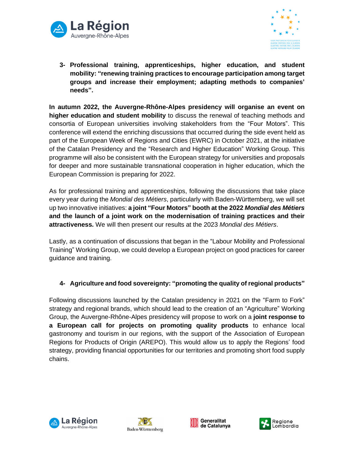



**3- Professional training, apprenticeships, higher education, and student mobility: "renewing training practices to encourage participation among target groups and increase their employment; adapting methods to companies' needs".**

**In autumn 2022, the Auvergne-Rhône-Alpes presidency will organise an event on higher education and student mobility** to discuss the renewal of teaching methods and consortia of European universities involving stakeholders from the "Four Motors". This conference will extend the enriching discussions that occurred during the side event held as part of the European Week of Regions and Cities (EWRC) in October 2021, at the initiative of the Catalan Presidency and the "Research and Higher Education" Working Group. This programme will also be consistent with the European strategy for universities and proposals for deeper and more sustainable transnational cooperation in higher education, which the European Commission is preparing for 2022.

As for professional training and apprenticeships, following the discussions that take place every year during the *Mondial des Métiers*, particularly with Baden-Württemberg, we will set up two innovative initiatives: **a joint "Four Motors" booth at the 2022** *Mondial des Métiers* **and the launch of a joint work on the modernisation of training practices and their attractiveness.** We will then present our results at the 2023 *Mondial des Métiers*.

Lastly, as a continuation of discussions that began in the "Labour Mobility and Professional Training" Working Group, we could develop a European project on good practices for career guidance and training.

# **4- Agriculture and food sovereignty: "promoting the quality of regional products"**

Following discussions launched by the Catalan presidency in 2021 on the "Farm to Fork" strategy and regional brands, which should lead to the creation of an "Agriculture" Working Group, the Auvergne-Rhône-Alpes presidency will propose to work on a **joint response to a European call for projects on promoting quality products** to enhance local gastronomy and tourism in our regions, with the support of the Association of European Regions for Products of Origin (AREPO). This would allow us to apply the Regions' food strategy, providing financial opportunities for our territories and promoting short food supply chains.